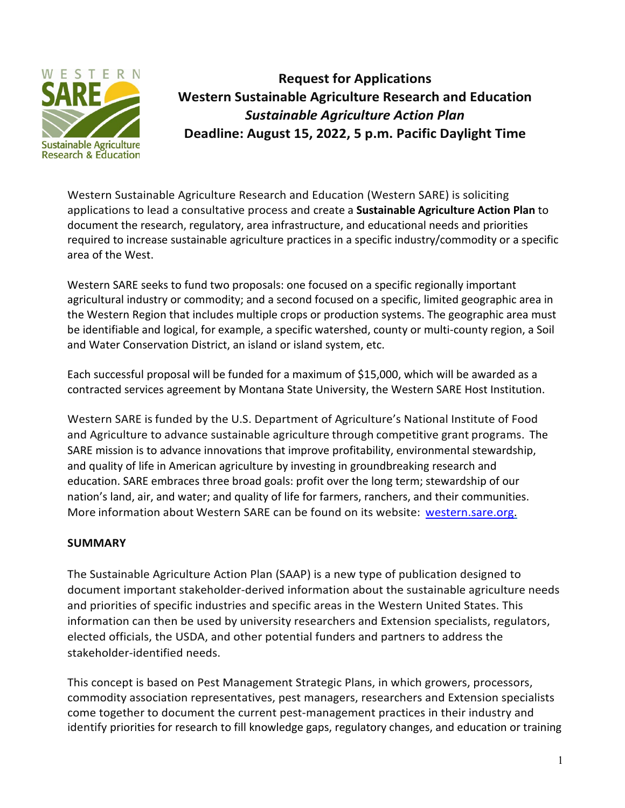

**Request for Applications Western Sustainable Agriculture Research and Education** *Sustainable Agriculture Action Plan* **Deadline: August 15, 2022, 5 p.m. Pacific Daylight Time**

Western Sustainable Agriculture Research and Education (Western SARE) is soliciting applications to lead a consultative process and create a **Sustainable Agriculture Action Plan** to document the research, regulatory, area infrastructure, and educational needs and priorities required to increase sustainable agriculture practices in a specific industry/commodity or a specific area of the West.

Western SARE seeks to fund two proposals: one focused on a specific regionally important agricultural industry or commodity; and a second focused on a specific, limited geographic area in the Western Region that includes multiple crops or production systems. The geographic area must be identifiable and logical, for example, a specific watershed, county or multi-county region, a Soil and Water Conservation District, an island or island system, etc.

Each successful proposal will be funded for a maximum of \$15,000, which will be awarded as a contracted services agreement by Montana State University, the Western SARE Host Institution.

Western SARE is funded by the U.S. Department of Agriculture's National Institute of Food and Agriculture to advance sustainable agriculture through competitive grant programs. The SARE mission is to advance innovations that improve profitability, environmental stewardship, and quality of life in American agriculture by investing in groundbreaking research and education. SARE embraces three broad goals: profit over the long term; stewardship of our nation's land, air, and water; and quality of life for farmers, ranchers, and their communities. More information about Western SARE can be found on its website: [western.sare.org.](https://western.sare.org/)

## **SUMMARY**

The Sustainable Agriculture Action Plan (SAAP) is a new type of publication designed to document important stakeholder-derived information about the sustainable agriculture needs and priorities of specific industries and specific areas in the Western United States. This information can then be used by university researchers and Extension specialists, regulators, elected officials, the USDA, and other potential funders and partners to address the stakeholder-identified needs.

This concept is based on Pest Management Strategic Plans, in which growers, processors, commodity association representatives, pest managers, researchers and Extension specialists come together to document the current pest-management practices in their industry and identify priorities for research to fill knowledge gaps, regulatory changes, and education or training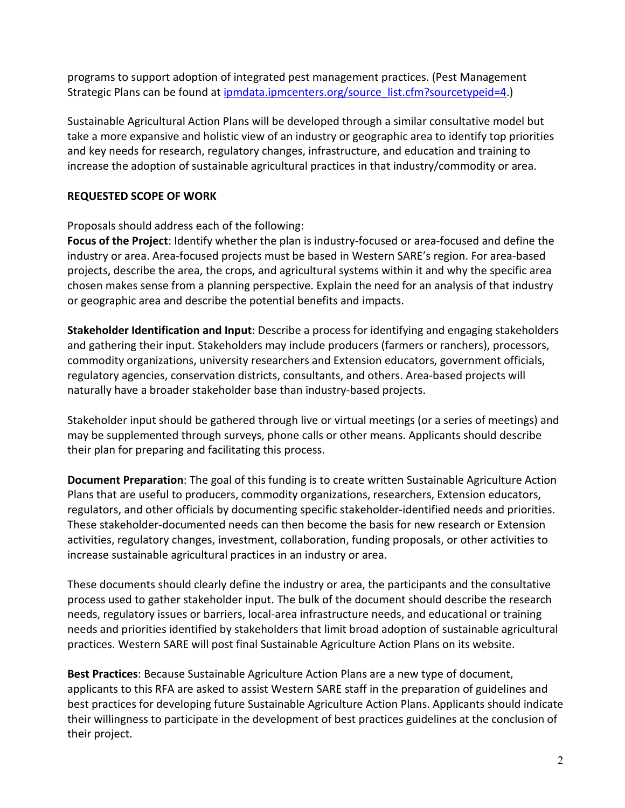programs to support adoption of integrated pest management practices. (Pest Management Strategic Plans can be found at [ipmdata.ipmcenters.org/source\\_list.cfm?sourcetypeid=4.](https://ipmdata.ipmcenters.org/source_list.cfm?sourcetypeid=4))

Sustainable Agricultural Action Plans will be developed through a similar consultative model but take a more expansive and holistic view of an industry or geographic area to identify top priorities and key needs for research, regulatory changes, infrastructure, and education and training to increase the adoption of sustainable agricultural practices in that industry/commodity or area.

## **REQUESTED SCOPE OF WORK**

Proposals should address each of the following:

**Focus of the Project**: Identify whether the plan is industry-focused or area-focused and define the industry or area. Area-focused projects must be based in Western SARE's region. For area-based projects, describe the area, the crops, and agricultural systems within it and why the specific area chosen makes sense from a planning perspective. Explain the need for an analysis of that industry or geographic area and describe the potential benefits and impacts.

**Stakeholder Identification and Input**: Describe a process for identifying and engaging stakeholders and gathering their input. Stakeholders may include producers (farmers or ranchers), processors, commodity organizations, university researchers and Extension educators, government officials, regulatory agencies, conservation districts, consultants, and others. Area-based projects will naturally have a broader stakeholder base than industry-based projects.

Stakeholder input should be gathered through live or virtual meetings (or a series of meetings) and may be supplemented through surveys, phone calls or other means. Applicants should describe their plan for preparing and facilitating this process.

**Document Preparation**: The goal of this funding is to create written Sustainable Agriculture Action Plans that are useful to producers, commodity organizations, researchers, Extension educators, regulators, and other officials by documenting specific stakeholder-identified needs and priorities. These stakeholder-documented needs can then become the basis for new research or Extension activities, regulatory changes, investment, collaboration, funding proposals, or other activities to increase sustainable agricultural practices in an industry or area.

These documents should clearly define the industry or area, the participants and the consultative process used to gather stakeholder input. The bulk of the document should describe the research needs, regulatory issues or barriers, local-area infrastructure needs, and educational or training needs and priorities identified by stakeholders that limit broad adoption of sustainable agricultural practices. Western SARE will post final Sustainable Agriculture Action Plans on its website.

**Best Practices**: Because Sustainable Agriculture Action Plans are a new type of document, applicants to this RFA are asked to assist Western SARE staff in the preparation of guidelines and best practices for developing future Sustainable Agriculture Action Plans. Applicants should indicate their willingness to participate in the development of best practices guidelines at the conclusion of their project.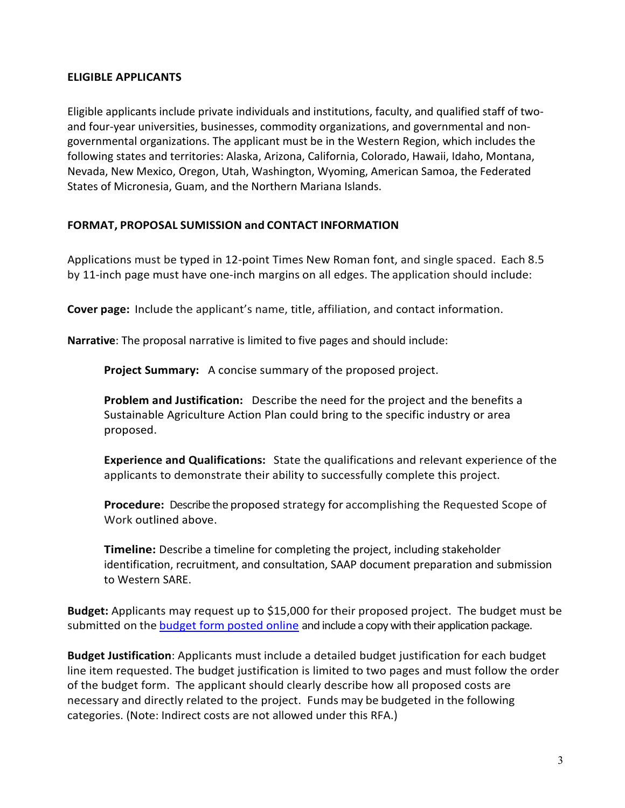#### **ELIGIBLE APPLICANTS**

Eligible applicants include private individuals and institutions, faculty, and qualified staff of twoand four-year universities, businesses, commodity organizations, and governmental and nongovernmental organizations. The applicant must be in the Western Region, which includes the following states and territories: Alaska, Arizona, California, Colorado, Hawaii, Idaho, Montana, Nevada, New Mexico, Oregon, Utah, Washington, Wyoming, American Samoa, the Federated States of Micronesia, Guam, and the Northern Mariana Islands.

### **FORMAT, PROPOSAL SUMISSION and CONTACT INFORMATION**

Applications must be typed in 12-point Times New Roman font, and single spaced. Each 8.5 by 11-inch page must have one-inch margins on all edges. The application should include:

**Cover page:** Include the applicant's name, title, affiliation, and contact information.

**Narrative**: The proposal narrative is limited to five pages and should include:

**Project Summary:** A concise summary of the proposed project.

**Problem and Justification:** Describe the need for the project and the benefits a Sustainable Agriculture Action Plan could bring to the specific industry or area proposed.

**Experience and Qualifications:** State the qualifications and relevant experience of the applicants to demonstrate their ability to successfully complete this project.

**Procedure:** Describe the proposed strategy for accomplishing the Requested Scope of Work outlined above.

**Timeline:** Describe a timeline for completing the project, including stakeholder identification, recruitment, and consultation, SAAP document preparation and submission to Western SARE.

**Budget:** Applicants may request up to \$15,000 for their proposed project. The budget must be submitted on the budget form [posted online](https://western.sare.org/wp-content/uploads/WesternSARE_BudgetForm_CSA.xlsx) and include a copy with their application package.

**Budget Justification**: Applicants must include a detailed budget justification for each budget line item requested. The budget justification is limited to two pages and must follow the order of the budget form. The applicant should clearly describe how all proposed costs are necessary and directly related to the project. Funds may be budgeted in the following categories. (Note: Indirect costs are not allowed under this RFA.)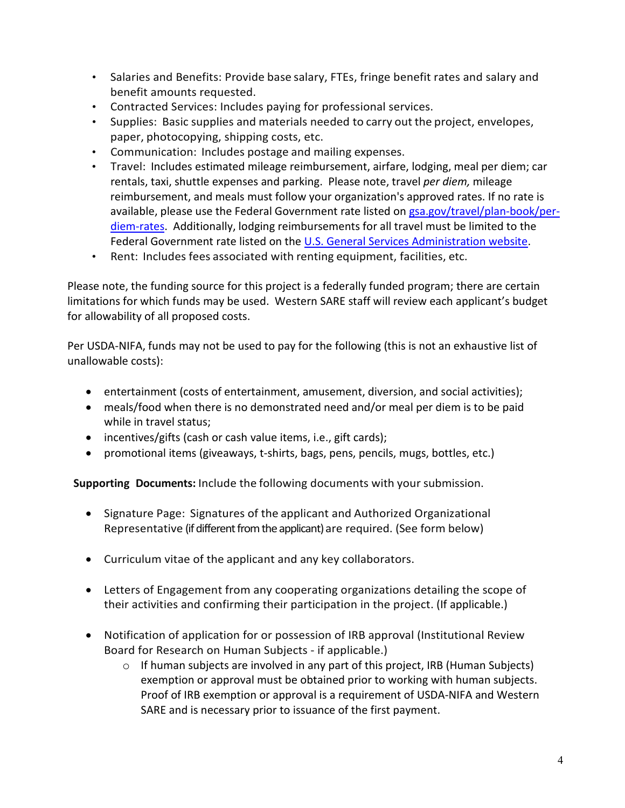- Salaries and Benefits: Provide base salary, FTEs, fringe benefit rates and salary and benefit amounts requested.
- Contracted Services: Includes paying for professional services.
- Supplies: Basic supplies and materials needed to carry out the project, envelopes, paper, photocopying, shipping costs, etc.
- Communication: Includes postage and mailing expenses.
- Travel: Includes estimated mileage reimbursement, airfare, lodging, meal per diem; car rentals, taxi, shuttle expenses and parking. Please note, travel *per diem,* mileage reimbursement, and meals must follow your organization's approved rates. If no rate is available, please use the Federal Government rate listed o[n gsa.gov/travel/plan-book/per](https://www.gsa.gov/travel/plan-book/per-diem-rates)[diem-rates.](https://www.gsa.gov/travel/plan-book/per-diem-rates) Additionally, lodging reimbursements for all travel must be limited to the Federal Government rate listed on the [U.S. General Services Administration website.](https://www.gsa.gov/travel/plan-book/per-diem-rates)
- Rent: Includes fees associated with renting equipment, facilities, etc.

Please note, the funding source for this project is a federally funded program; there are certain limitations for which funds may be used. Western SARE staff will review each applicant's budget for allowability of all proposed costs.

Per USDA-NIFA, funds may not be used to pay for the following (this is not an exhaustive list of unallowable costs):

- entertainment (costs of entertainment, amusement, diversion, and social activities);
- meals/food when there is no demonstrated need and/or meal per diem is to be paid while in travel status;
- incentives/gifts (cash or cash value items, i.e., gift cards);
- promotional items (giveaways, t-shirts, bags, pens, pencils, mugs, bottles, etc.)

**Supporting Documents:** Include the following documents with your submission.

- Signature Page: Signatures of the applicant and Authorized Organizational Representative (if different from the applicant) are required. (See form below)
- Curriculum vitae of the applicant and any key collaborators.
- Letters of Engagement from any cooperating organizations detailing the scope of their activities and confirming their participation in the project. (If applicable.)
- Notification of application for or possession of IRB approval (Institutional Review Board for Research on Human Subjects - if applicable.)
	- $\circ$  If human subjects are involved in any part of this project, IRB (Human Subjects) exemption or approval must be obtained prior to working with human subjects. Proof of IRB exemption or approval is a requirement of USDA-NIFA and Western SARE and is necessary prior to issuance of the first payment.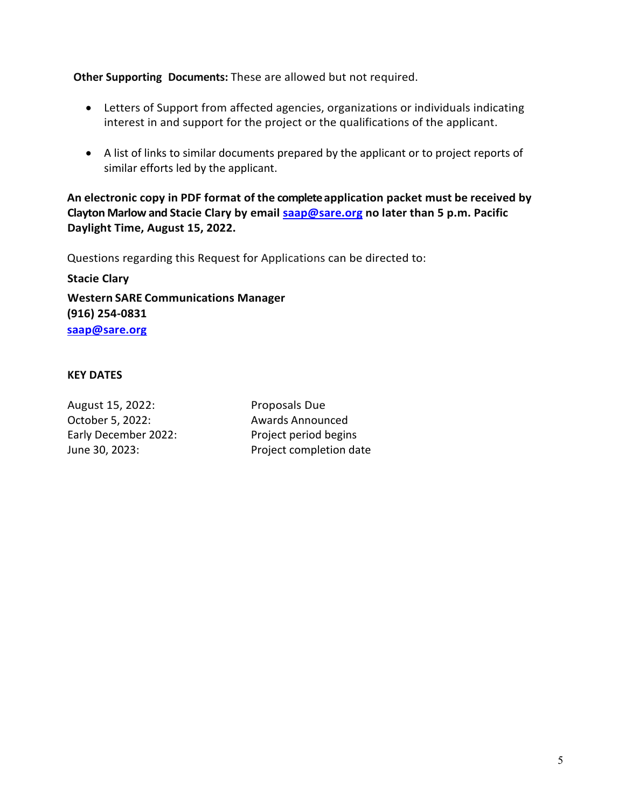**Other Supporting Documents:** These are allowed but not required.

- Letters of Support from affected agencies, organizations or individuals indicating interest in and support for the project or the qualifications of the applicant.
- A list of links to similar documents prepared by the applicant or to project reports of similar efforts led by the applicant.

**An electronic copy in PDF format of the complete application packet must be received by Clayton Marlow and Stacie Clary by email [saap@sare.org](mailto:saap@sare.org) no later than 5 p.m. Pacific Daylight Time, August 15, 2022.**

Questions regarding this Request for Applications can be directed to:

**Stacie Clary**

**Western SARE Communications Manager (916) 254-0831 [saap@sare.org](mailto:saap@sare.org)**

### **KEY DATES**

August 15, 2022: Proposals Due October 5, 2022: Awards Announced Early December 2022: Project period begins

June 30, 2023: Project completion date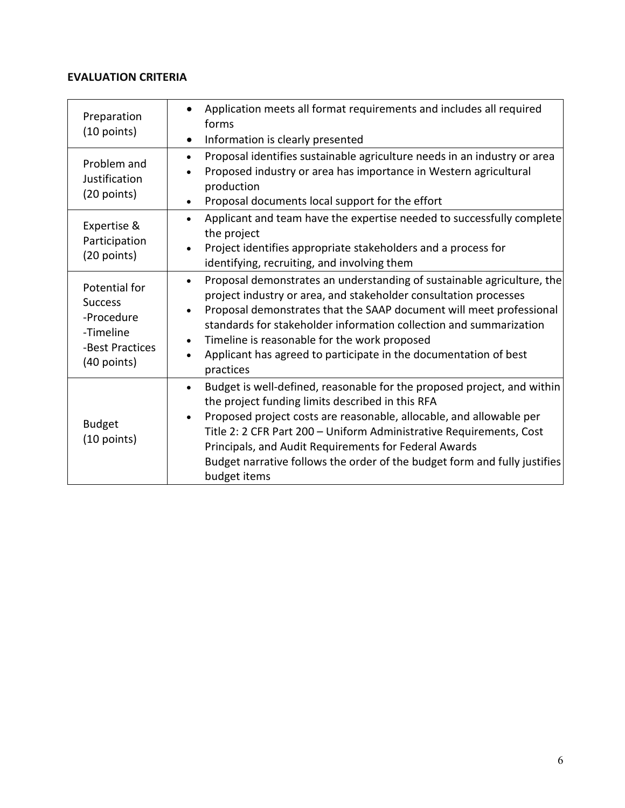#### **EVALUATION CRITERIA**

| Preparation<br>$(10$ points)                                                                 | Application meets all format requirements and includes all required<br>forms<br>Information is clearly presented<br>$\bullet$                                                                                                                                                                                                                                                                                                                                                |
|----------------------------------------------------------------------------------------------|------------------------------------------------------------------------------------------------------------------------------------------------------------------------------------------------------------------------------------------------------------------------------------------------------------------------------------------------------------------------------------------------------------------------------------------------------------------------------|
| Problem and<br>Justification<br>(20 points)                                                  | Proposal identifies sustainable agriculture needs in an industry or area<br>$\bullet$<br>Proposed industry or area has importance in Western agricultural<br>$\bullet$<br>production<br>Proposal documents local support for the effort<br>$\bullet$                                                                                                                                                                                                                         |
| Expertise &<br>Participation<br>(20 points)                                                  | Applicant and team have the expertise needed to successfully complete<br>$\bullet$<br>the project<br>Project identifies appropriate stakeholders and a process for<br>identifying, recruiting, and involving them                                                                                                                                                                                                                                                            |
| Potential for<br><b>Success</b><br>-Procedure<br>-Timeline<br>-Best Practices<br>(40 points) | Proposal demonstrates an understanding of sustainable agriculture, the<br>$\bullet$<br>project industry or area, and stakeholder consultation processes<br>Proposal demonstrates that the SAAP document will meet professional<br>$\bullet$<br>standards for stakeholder information collection and summarization<br>Timeline is reasonable for the work proposed<br>$\bullet$<br>Applicant has agreed to participate in the documentation of best<br>$\bullet$<br>practices |
| <b>Budget</b><br>$(10$ points)                                                               | Budget is well-defined, reasonable for the proposed project, and within<br>$\bullet$<br>the project funding limits described in this RFA<br>Proposed project costs are reasonable, allocable, and allowable per<br>$\bullet$<br>Title 2: 2 CFR Part 200 - Uniform Administrative Requirements, Cost<br>Principals, and Audit Requirements for Federal Awards<br>Budget narrative follows the order of the budget form and fully justifies<br>budget items                    |